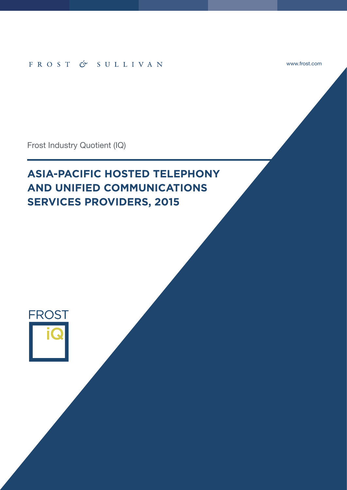## FROST & SULLIVAN

www.frost.com

Frost Industry Quotient (IQ)

# **ASIA-PACIFIC HOSTED TELEPHONY AND UNIFIED COMMUNICATIONS SERVICES PROVIDERS, 2015**

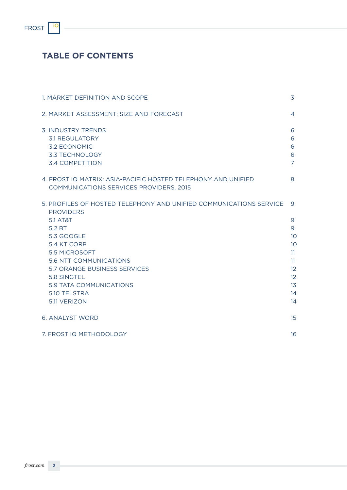## **TABLE OF CONTENTS**

| 1. MARKET DEFINITION AND SCOPE                                                                                                                                                                                                       | 3                                                            |
|--------------------------------------------------------------------------------------------------------------------------------------------------------------------------------------------------------------------------------------|--------------------------------------------------------------|
| 2. MARKET ASSESSMENT: SIZE AND FORECAST                                                                                                                                                                                              | 4                                                            |
| <b>3. INDUSTRY TRENDS</b><br><b>3.1 REGULATORY</b><br>3.2 ECONOMIC<br><b>3.3 TECHNOLOGY</b><br><b>3.4 COMPETITION</b>                                                                                                                | 6<br>6<br>6<br>6<br>7                                        |
| 4. FROST IQ MATRIX: ASIA-PACIFIC HOSTED TELEPHONY AND UNIFIED<br>COMMUNICATIONS SERVICES PROVIDERS, 2015                                                                                                                             | 8                                                            |
| 5. PROFILES OF HOSTED TELEPHONY AND UNIFIED COMMUNICATIONS SERVICE<br><b>PROVIDERS</b>                                                                                                                                               | 9                                                            |
| <b>5.1 AT&amp;T</b><br>5.2 BT<br>5.3 GOOGLE<br>5.4 KT CORP<br><b>5.5 MICROSOFT</b><br><b>5.6 NTT COMMUNICATIONS</b><br>5.7 ORANGE BUSINESS SERVICES<br>5.8 SINGTEL<br><b>5.9 TATA COMMUNICATIONS</b><br>5.10 TELSTRA<br>5.11 VERIZON | 9<br>9<br>10<br>10<br>11<br>11<br>12<br>12<br>13<br>14<br>14 |
| <b>6. ANALYST WORD</b>                                                                                                                                                                                                               | 15                                                           |
| 7. FROST IQ METHODOLOGY                                                                                                                                                                                                              | 16                                                           |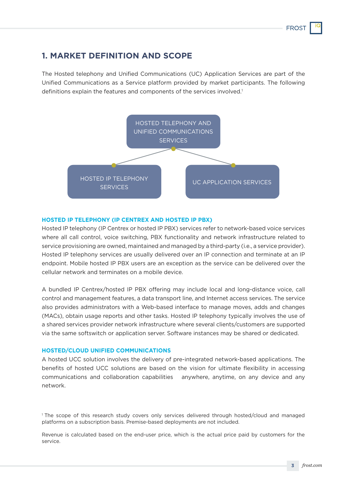## **1. MARKET DEFINITION AND SCOPE**

The Hosted telephony and Unified Communications (UC) Application Services are part of the Unified Communications as a Service platform provided by market participants. The following definitions explain the features and components of the services involved.<sup>1</sup>



#### **HOSTED IP TELEPHONY (IP CENTREX AND HOSTED IP PBX)**

Hosted IP telephony (IP Centrex or hosted IP PBX) services refer to network-based voice services where all call control, voice switching, PBX functionality and network infrastructure related to service provisioning are owned, maintained and managed by a third-party (i.e., a service provider). Hosted IP telephony services are usually delivered over an IP connection and terminate at an IP endpoint. Mobile hosted IP PBX users are an exception as the service can be delivered over the cellular network and terminates on a mobile device.

A bundled IP Centrex/hosted IP PBX offering may include local and long-distance voice, call control and management features, a data transport line, and Internet access services. The service also provides administrators with a Web-based interface to manage moves, adds and changes (MACs), obtain usage reports and other tasks. Hosted IP telephony typically involves the use of a shared services provider network infrastructure where several clients/customers are supported via the same softswitch or application server. Software instances may be shared or dedicated.

#### **HOSTED/CLOUD UNIFIED COMMUNICATIONS**

A hosted UCC solution involves the delivery of pre-integrated network-based applications. The benefits of hosted UCC solutions are based on the vision for ultimate flexibility in accessing communications and collaboration capabilities ‒ anywhere, anytime, on any device and any network.

1 The scope of this research study covers only services delivered through hosted/cloud and managed platforms on a subscription basis. Premise-based deployments are not included.

Revenue is calculated based on the end-user price, which is the actual price paid by customers for the service.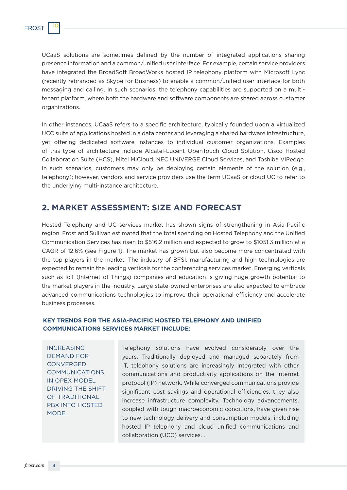

UCaaS solutions are sometimes defined by the number of integrated applications sharing presence information and a common/unified user interface. For example, certain service providers have integrated the BroadSoft BroadWorks hosted IP telephony platform with Microsoft Lync (recently rebranded as Skype for Business) to enable a common/unified user interface for both messaging and calling. In such scenarios, the telephony capabilities are supported on a multitenant platform, where both the hardware and software components are shared across customer organizations.

In other instances, UCaaS refers to a specific architecture, typically founded upon a virtualized UCC suite of applications hosted in a data center and leveraging a shared hardware infrastructure, yet offering dedicated software instances to individual customer organizations. Examples of this type of architecture include Alcatel-Lucent OpenTouch Cloud Solution, Cisco Hosted Collaboration Suite (HCS), Mitel MiCloud, NEC UNIVERGE Cloud Services, and Toshiba VIPedge. In such scenarios, customers may only be deploying certain elements of the solution (e.g., telephony); however, vendors and service providers use the term UCaaS or cloud UC to refer to the underlying multi-instance architecture.

## **2. MARKET ASSESSMENT: SIZE AND FORECAST**

Hosted Telephony and UC services market has shown signs of strengthening in Asia-Pacific region. Frost and Sullivan estimated that the total spending on Hosted Telephony and the Unified Communication Services has risen to \$516.2 million and expected to grow to \$1051.3 million at a CAGR of 12.6% (see Figure 1). The market has grown but also become more concentrated with the top players in the market. The industry of BFSI, manufacturing and high-technologies are expected to remain the leading verticals for the conferencing services market. Emerging verticals such as IoT (Internet of Things) companies and education is giving huge growth potential to the market players in the industry. Large state-owned enterprises are also expected to embrace advanced communications technologies to improve their operational efficiency and accelerate business processes.

### **KEY TRENDS FOR THE ASIA-PACIFIC HOSTED TELEPHONY AND UNIFIED COMMUNICATIONS SERVICES MARKET INCLUDE:**

INCREASING DEMAND FOR **CONVERGED COMMUNICATIONS** IN OPEX MODEL DRIVING THE SHIFT OF TRADITIONAL PBX INTO HOSTED MODE.

Telephony solutions have evolved considerably over the years. Traditionally deployed and managed separately from IT, telephony solutions are increasingly integrated with other communications and productivity applications on the Internet protocol (IP) network. While converged communications provide significant cost savings and operational efficiencies, they also increase infrastructure complexity. Technology advancements, coupled with tough macroeconomic conditions, have given rise to new technology delivery and consumption models, including hosted IP telephony and cloud unified communications and collaboration (UCC) services. .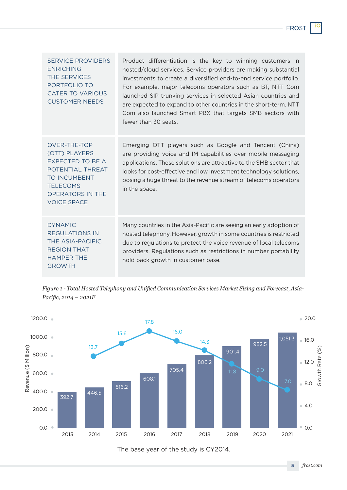| <b>SERVICE PROVIDERS</b><br><b>ENRICHING</b><br>THE SERVICES<br>PORTFOLIO TO<br><b>CATER TO VARIOUS</b><br><b>CUSTOMER NEEDS</b>                                 | Product differentiation is the key to winning customers in<br>hosted/cloud services. Service providers are making substantial<br>investments to create a diversified end-to-end service portfolio.<br>For example, major telecoms operators such as BT, NTT Com<br>launched SIP trunking services in selected Asian countries and<br>are expected to expand to other countries in the short-term. NTT<br>Com also launched Smart PBX that targets SMB sectors with<br>fewer than 30 seats. |
|------------------------------------------------------------------------------------------------------------------------------------------------------------------|--------------------------------------------------------------------------------------------------------------------------------------------------------------------------------------------------------------------------------------------------------------------------------------------------------------------------------------------------------------------------------------------------------------------------------------------------------------------------------------------|
| OVER-THE-TOP<br>(OTT) PLAYERS<br>EXPECTED TO BE A<br>POTENTIAL THREAT<br><b>TO INCUMBENT</b><br><b>TELECOMS</b><br><b>OPERATORS IN THE</b><br><b>VOICE SPACE</b> | Emerging OTT players such as Google and Tencent (China)<br>are providing voice and IM capabilities over mobile messaging<br>applications. These solutions are attractive to the SMB sector that<br>looks for cost-effective and low investment technology solutions,<br>posing a huge threat to the revenue stream of telecoms operators<br>in the space.                                                                                                                                  |
| <b>DYNAMIC</b><br><b>REGULATIONS IN</b><br>THE ASIA-PACIFIC<br><b>REGION THAT</b><br><b>HAMPER THE</b><br><b>GROWTH</b>                                          | Many countries in the Asia-Pacific are seeing an early adoption of<br>hosted telephony. However, growth in some countries is restricted<br>due to regulations to protect the voice revenue of local telecoms<br>providers. Regulations such as restrictions in number portability<br>hold back growth in customer base.                                                                                                                                                                    |







**5** *frost.com*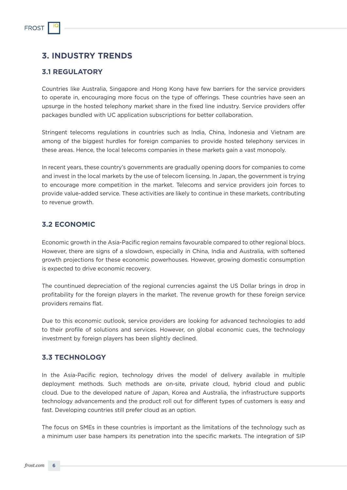## **3. INDUSTRY TRENDS**

## **3.1 REGULATORY**

Countries like Australia, Singapore and Hong Kong have few barriers for the service providers to operate in, encouraging more focus on the type of offerings. These countries have seen an upsurge in the hosted telephony market share in the fixed line industry. Service providers offer packages bundled with UC application subscriptions for better collaboration.

Stringent telecoms regulations in countries such as India, China, Indonesia and Vietnam are among of the biggest hurdles for foreign companies to provide hosted telephony services in these areas. Hence, the local telecoms companies in these markets gain a vast monopoly.

In recent years, these country's governments are gradually opening doors for companies to come and invest in the local markets by the use of telecom licensing. In Japan, the government is trying to encourage more competition in the market. Telecoms and service providers join forces to provide value-added service. These activities are likely to continue in these markets, contributing to revenue growth.

### **3.2 ECONOMIC**

Economic growth in the Asia-Pacific region remains favourable compared to other regional blocs. However, there are signs of a slowdown, especially in China, India and Australia, with softened growth projections for these economic powerhouses. However, growing domestic consumption is expected to drive economic recovery.

The countinued depreciation of the regional currencies against the US Dollar brings in drop in profitability for the foreign players in the market. The revenue growth for these foreign service providers remains flat.

Due to this economic outlook, service providers are looking for advanced technologies to add to their profile of solutions and services. However, on global economic cues, the technology investment by foreign players has been slightly declined.

### **3.3 TECHNOLOGY**

In the Asia-Pacific region, technology drives the model of delivery available in multiple deployment methods. Such methods are on-site, private cloud, hybrid cloud and public cloud. Due to the developed nature of Japan, Korea and Australia, the infrastructure supports technology advancements and the product roll out for different types of customers is easy and fast. Developing countries still prefer cloud as an option.

The focus on SMEs in these countries is important as the limitations of the technology such as a minimum user base hampers its penetration into the specific markets. The integration of SIP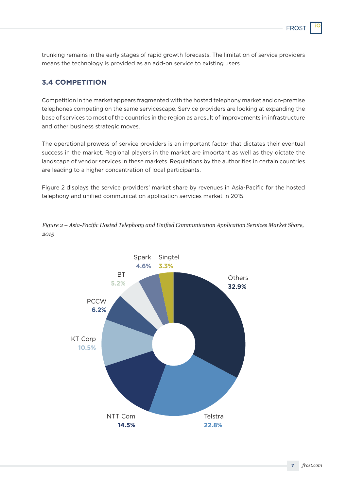#### **FROS**

trunking remains in the early stages of rapid growth forecasts. The limitation of service providers means the technology is provided as an add-on service to existing users.

## **3.4 COMPETITION**

Competition in the market appears fragmented with the hosted telephony market and on-premise telephones competing on the same servicescape. Service providers are looking at expanding the base of services to most of the countries in the region as a result of improvements in infrastructure and other business strategic moves.

The operational prowess of service providers is an important factor that dictates their eventual success in the market. Regional players in the market are important as well as they dictate the landscape of vendor services in these markets. Regulations by the authorities in certain countries are leading to a higher concentration of local participants.

Figure 2 displays the service providers' market share by revenues in Asia-Pacific for the hosted telephony and unified communication application services market in 2015.

*Figure 2 – Asia-Pacific Hosted Telephony and Unified Communication Application Services Market Share, 2015*

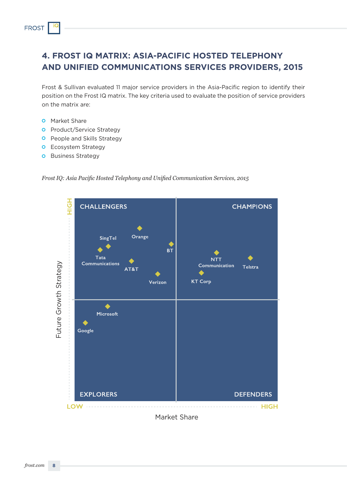## **4. FROST IQ MATRIX: ASIA-PACIFIC HOSTED TELEPHONY AND UNIFIED COMMUNICATIONS SERVICES PROVIDERS, 2015**

Frost & Sullivan evaluated 11 major service providers in the Asia-Pacific region to identify their position on the Frost IQ matrix. The key criteria used to evaluate the position of service providers on the matrix are:

**O** Market Share

**FROST** 

- **o** Product/Service Strategy
- **O** People and Skills Strategy
- **O** Ecosystem Strategy
- **o** Business Strategy



*Frost IQ: Asia Pacific Hosted Telephony and Unified Communication Services, 2015*

Market Share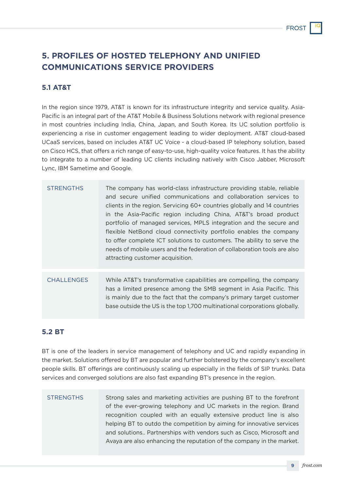## **5. PROFILES OF HOSTED TELEPHONY AND UNIFIED COMMUNICATIONS SERVICE PROVIDERS**

## **5.1 AT&T**

In the region since 1979, AT&T is known for its infrastructure integrity and service quality. Asia-Pacific is an integral part of the AT&T Mobile & Business Solutions network with regional presence in most countries including India, China, Japan, and South Korea. Its UC solution portfolio is experiencing a rise in customer engagement leading to wider deployment. AT&T cloud-based UCaaS services, based on includes AT&T UC Voice - a cloud-based IP telephony solution, based on Cisco HCS, that offers a rich range of easy-to-use, high-quality voice features. It has the ability to integrate to a number of leading UC clients including natively with Cisco Jabber, Microsoft Lync, IBM Sametime and Google.

| <b>STRENGTHS</b>  | The company has world-class infrastructure providing stable, reliable<br>and secure unified communications and collaboration services to<br>clients in the region. Servicing 60+ countries globally and 14 countries<br>in the Asia-Pacific region including China, AT&T's broad product<br>portfolio of managed services, MPLS integration and the secure and<br>flexible NetBond cloud connectivity portfolio enables the company<br>to offer complete ICT solutions to customers. The ability to serve the<br>needs of mobile users and the federation of collaboration tools are also<br>attracting customer acquisition. |
|-------------------|-------------------------------------------------------------------------------------------------------------------------------------------------------------------------------------------------------------------------------------------------------------------------------------------------------------------------------------------------------------------------------------------------------------------------------------------------------------------------------------------------------------------------------------------------------------------------------------------------------------------------------|
| <b>CHALLENGES</b> | While AT&T's transformative capabilities are compelling, the company<br>has a limited presence among the SMB segment in Asia Pacific. This<br>is mainly due to the fact that the company's primary target customer<br>base outside the US is the top 1,700 multinational corporations globally.                                                                                                                                                                                                                                                                                                                               |

### **5.2 BT**

BT is one of the leaders in service management of telephony and UC and rapidly expanding in the market. Solutions offered by BT are popular and further bolstered by the company's excellent people skills. BT offerings are continuously scaling up especially in the fields of SIP trunks. Data services and converged solutions are also fast expanding BT's presence in the region.

Strong sales and marketing activities are pushing BT to the forefront of the ever-growing telephony and UC markets in the region. Brand recognition coupled with an equally extensive product line is also helping BT to outdo the competition by aiming for innovative services and solutions.. Partnerships with vendors such as Cisco, Microsoft and Avaya are also enhancing the reputation of the company in the market. **STRENGTHS**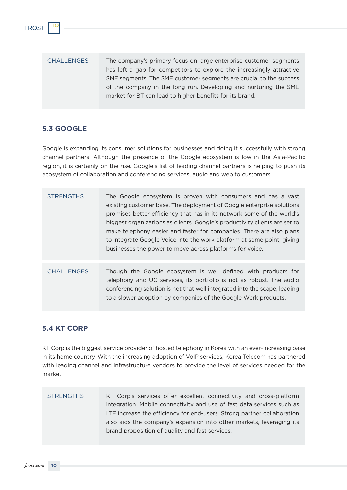| <b>CHALLENGES</b> | The company's primary focus on large enterprise customer segments     |
|-------------------|-----------------------------------------------------------------------|
|                   | has left a gap for competitors to explore the increasingly attractive |
|                   | SME segments. The SME customer segments are crucial to the success    |
|                   | of the company in the long run. Developing and nurturing the SME      |
|                   | market for BT can lead to higher benefits for its brand.              |

## **5.3 GOOGLE**

**FROST** 

Google is expanding its consumer solutions for businesses and doing it successfully with strong channel partners. Although the presence of the Google ecosystem is low in the Asia-Pacific region, it is certainly on the rise. Google's list of leading channel partners is helping to push its ecosystem of collaboration and conferencing services, audio and web to customers.

| <b>STRENGTHS</b>  | The Google ecosystem is proven with consumers and has a vast<br>existing customer base. The deployment of Google enterprise solutions<br>promises better efficiency that has in its network some of the world's<br>biggest organizations as clients. Google's productivity clients are set to<br>make telephony easier and faster for companies. There are also plans<br>to integrate Google Voice into the work platform at some point, giving<br>businesses the power to move across platforms for voice. |
|-------------------|-------------------------------------------------------------------------------------------------------------------------------------------------------------------------------------------------------------------------------------------------------------------------------------------------------------------------------------------------------------------------------------------------------------------------------------------------------------------------------------------------------------|
| <b>CHALLENGES</b> | Though the Google ecosystem is well defined with products for<br>telephony and UC services, its portfolio is not as robust. The audio<br>conferencing solution is not that well integrated into the scape, leading<br>to a slower adoption by companies of the Google Work products.                                                                                                                                                                                                                        |

## **5.4 KT CORP**

KT Corp is the biggest service provider of hosted telephony in Korea with an ever-increasing base in its home country. With the increasing adoption of VoIP services, Korea Telecom has partnered with leading channel and infrastructure vendors to provide the level of services needed for the market.

| <b>STRENGTHS</b> | KT Corp's services offer excellent connectivity and cross-platform      |
|------------------|-------------------------------------------------------------------------|
|                  | integration. Mobile connectivity and use of fast data services such as  |
|                  | LTE increase the efficiency for end-users. Strong partner collaboration |
|                  | also aids the company's expansion into other markets, leveraging its    |
|                  | brand proposition of quality and fast services.                         |
|                  |                                                                         |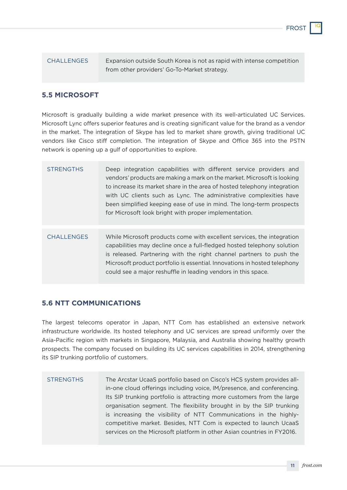#### **FROS**

### **CHALLENGES**

Expansion outside South Korea is not as rapid with intense competition from other providers' Go-To-Market strategy.

### **5.5 MICROSOFT**

Microsoft is gradually building a wide market presence with its well-articulated UC Services. Microsoft Lync offers superior features and is creating significant value for the brand as a vendor in the market. The integration of Skype has led to market share growth, giving traditional UC vendors like Cisco stiff completion. The integration of Skype and Office 365 into the PSTN network is opening up a gulf of opportunities to explore.

| <b>CHALLENGES</b><br>While Microsoft products come with excellent services, the integration<br>capabilities may decline once a full-fledged hosted telephony solution                                             |
|-------------------------------------------------------------------------------------------------------------------------------------------------------------------------------------------------------------------|
| is released. Partnering with the right channel partners to push the<br>Microsoft product portfolio is essential. Innovations in hosted telephony<br>could see a major reshuffle in leading vendors in this space. |

## **5.6 NTT COMMUNICATIONS**

The largest telecoms operator in Japan, NTT Com has established an extensive network infrastructure worldwide. Its hosted telephony and UC services are spread uniformly over the Asia-Pacific region with markets in Singapore, Malaysia, and Australia showing healthy growth prospects. The company focused on building its UC services capabilities in 2014, strengthening its SIP trunking portfolio of customers.

| <b>STRENGTHS</b> | The Arcstar UcaaS portfolio based on Cisco's HCS system provides all-  |
|------------------|------------------------------------------------------------------------|
|                  | in-one cloud offerings including voice, IM/presence, and conferencing. |
|                  | Its SIP trunking portfolio is attracting more customers from the large |
|                  | organisation segment. The flexibility brought in by the SIP trunking   |
|                  | is increasing the visibility of NTT Communications in the highly-      |
|                  | competitive market. Besides, NTT Com is expected to launch UcaaS       |
|                  | services on the Microsoft platform in other Asian countries in FY2016. |
|                  |                                                                        |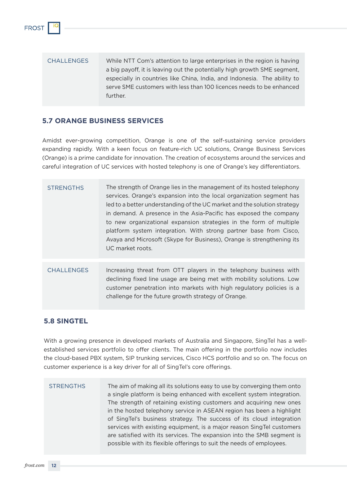While NTT Com's attention to large enterprises in the region is having a big payoff, it is leaving out the potentially high growth SME segment, especially in countries like China, India, and Indonesia. The ability to serve SME customers with less than 100 licences needs to be enhanced further. **CHALLENGES** 

## **5.7 ORANGE BUSINESS SERVICES**

**FROST** 

Amidst ever-growing competition, Orange is one of the self-sustaining service providers expanding rapidly. With a keen focus on feature-rich UC solutions, Orange Business Services (Orange) is a prime candidate for innovation. The creation of ecosystems around the services and careful integration of UC services with hosted telephony is one of Orange's key differentiators.

| <b>STRENGTHS</b>  | The strength of Orange lies in the management of its hosted telephony<br>services. Orange's expansion into the local organization segment has<br>led to a better understanding of the UC market and the solution strategy<br>in demand. A presence in the Asia-Pacific has exposed the company<br>to new organizational expansion strategies in the form of multiple<br>platform system integration. With strong partner base from Cisco,<br>Avaya and Microsoft (Skype for Business), Orange is strengthening its<br>UC market roots. |
|-------------------|----------------------------------------------------------------------------------------------------------------------------------------------------------------------------------------------------------------------------------------------------------------------------------------------------------------------------------------------------------------------------------------------------------------------------------------------------------------------------------------------------------------------------------------|
| <b>CHALLENGES</b> | Increasing threat from OTT players in the telephony business with<br>declining fixed line usage are being met with mobility solutions. Low<br>customer penetration into markets with high regulatory policies is a<br>challenge for the future growth strategy of Orange.                                                                                                                                                                                                                                                              |

### **5.8 SINGTEL**

With a growing presence in developed markets of Australia and Singapore, SingTel has a wellestablished services portfolio to offer clients. The main offering in the portfolio now includes the cloud-based PBX system, SIP trunking services, Cisco HCS portfolio and so on. The focus on customer experience is a key driver for all of SingTel's core offerings.

The aim of making all its solutions easy to use by converging them onto a single platform is being enhanced with excellent system integration. The strength of retaining existing customers and acquiring new ones in the hosted telephony service in ASEAN region has been a highlight of SingTel's business strategy. The success of its cloud integration services with existing equipment, is a major reason SingTel customers are satisfied with its services. The expansion into the SMB segment is possible with its flexible offerings to suit the needs of employees. **STRENGTHS**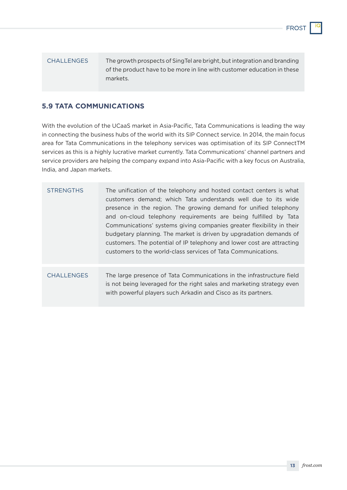### CHALLENGES

The growth prospects of SingTel are bright, but integration and branding of the product have to be more in line with customer education in these markets.

## **5.9 TATA COMMUNICATIONS**

With the evolution of the UCaaS market in Asia-Pacific, Tata Communications is leading the way in connecting the business hubs of the world with its SIP Connect service. In 2014, the main focus area for Tata Communications in the telephony services was optimisation of its SIP ConnectTM services as this is a highly lucrative market currently. Tata Communications' channel partners and service providers are helping the company expand into Asia-Pacific with a key focus on Australia, India, and Japan markets.

| <b>STRENGTHS</b>  | The unification of the telephony and hosted contact centers is what<br>customers demand; which Tata understands well due to its wide<br>presence in the region. The growing demand for unified telephony<br>and on-cloud telephony requirements are being fulfilled by Tata<br>Communications' systems giving companies greater flexibility in their<br>budgetary planning. The market is driven by upgradation demands of<br>customers. The potential of IP telephony and lower cost are attracting<br>customers to the world-class services of Tata Communications. |
|-------------------|-----------------------------------------------------------------------------------------------------------------------------------------------------------------------------------------------------------------------------------------------------------------------------------------------------------------------------------------------------------------------------------------------------------------------------------------------------------------------------------------------------------------------------------------------------------------------|
| <b>CHALLENGES</b> | The large presence of Tata Communications in the infrastructure field<br>is not being leveraged for the right sales and marketing strategy even<br>with powerful players such Arkadin and Cisco as its partners.                                                                                                                                                                                                                                                                                                                                                      |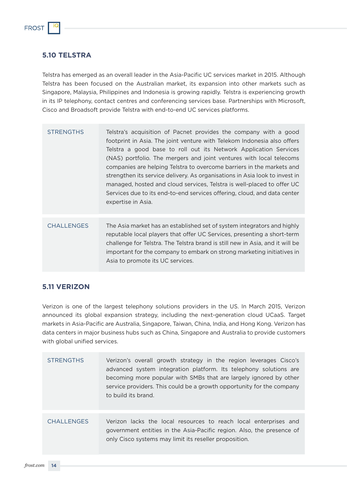

## **5.10 TELSTRA**

Telstra has emerged as an overall leader in the Asia-Pacific UC services market in 2015. Although Telstra has been focused on the Australian market, its expansion into other markets such as Singapore, Malaysia, Philippines and Indonesia is growing rapidly. Telstra is experiencing growth in its IP telephony, contact centres and conferencing services base. Partnerships with Microsoft, Cisco and Broadsoft provide Telstra with end-to-end UC services platforms.

| <b>STRENGTHS</b>  | Telstra's acquisition of Pacnet provides the company with a good<br>footprint in Asia. The joint venture with Telekom Indonesia also offers<br>Telstra a good base to roll out its Network Application Services<br>(NAS) portfolio. The mergers and joint ventures with local telecoms<br>companies are helping Telstra to overcome barriers in the markets and<br>strengthen its service delivery. As organisations in Asia look to invest in<br>managed, hosted and cloud services, Telstra is well-placed to offer UC<br>Services due to its end-to-end services offering, cloud, and data center<br>expertise in Asia. |
|-------------------|----------------------------------------------------------------------------------------------------------------------------------------------------------------------------------------------------------------------------------------------------------------------------------------------------------------------------------------------------------------------------------------------------------------------------------------------------------------------------------------------------------------------------------------------------------------------------------------------------------------------------|
| <b>CHALLENGES</b> | The Asia market has an established set of system integrators and highly<br>reputable local players that offer UC Services, presenting a short-term<br>challenge for Telstra. The Telstra brand is still new in Asia, and it will be<br>important for the company to embark on strong marketing initiatives in<br>Asia to promote its UC services.                                                                                                                                                                                                                                                                          |

## **5.11 VERIZON**

Verizon is one of the largest telephony solutions providers in the US. In March 2015, Verizon announced its global expansion strategy, including the next-generation cloud UCaaS. Target markets in Asia-Pacific are Australia, Singapore, Taiwan, China, India, and Hong Kong. Verizon has data centers in major business hubs such as China, Singapore and Australia to provide customers with global unified services.

| <b>STRENGTHS</b> | Verizon's overall growth strategy in the region leverages Cisco's<br>advanced system integration platform. Its telephony solutions are<br>becoming more popular with SMBs that are largely ignored by other<br>service providers. This could be a growth opportunity for the company<br>to build its brand. |
|------------------|-------------------------------------------------------------------------------------------------------------------------------------------------------------------------------------------------------------------------------------------------------------------------------------------------------------|
| CHALL ENGES      | Verizon lacks the local resources to reach local enterprises and<br>government entities in the Asia-Pacific region. Also, the presence of<br>only Cisco systems may limit its reseller proposition.                                                                                                         |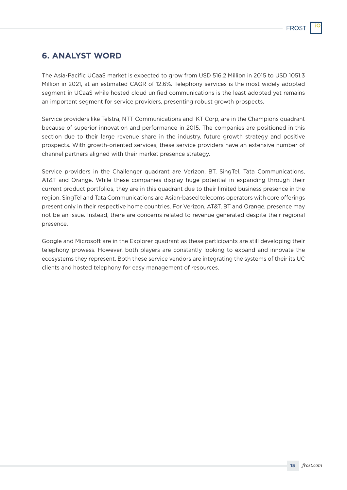## **6. ANALYST WORD**

The Asia-Pacific UCaaS market is expected to grow from USD 516.2 Million in 2015 to USD 1051.3 Million in 2021, at an estimated CAGR of 12.6%. Telephony services is the most widely adopted segment in UCaaS while hosted cloud unified communications is the least adopted yet remains an important segment for service providers, presenting robust growth prospects.

Service providers like Telstra, NTT Communications and KT Corp, are in the Champions quadrant because of superior innovation and performance in 2015. The companies are positioned in this section due to their large revenue share in the industry, future growth strategy and positive prospects. With growth-oriented services, these service providers have an extensive number of channel partners aligned with their market presence strategy.

Service providers in the Challenger quadrant are Verizon, BT, SingTel, Tata Communications, AT&T and Orange. While these companies display huge potential in expanding through their current product portfolios, they are in this quadrant due to their limited business presence in the region. SingTel and Tata Communications are Asian-based telecoms operators with core offerings present only in their respective home countries. For Verizon, AT&T, BT and Orange, presence may not be an issue. Instead, there are concerns related to revenue generated despite their regional presence.

Google and Microsoft are in the Explorer quadrant as these participants are still developing their telephony prowess. However, both players are constantly looking to expand and innovate the ecosystems they represent. Both these service vendors are integrating the systems of their its UC clients and hosted telephony for easy management of resources.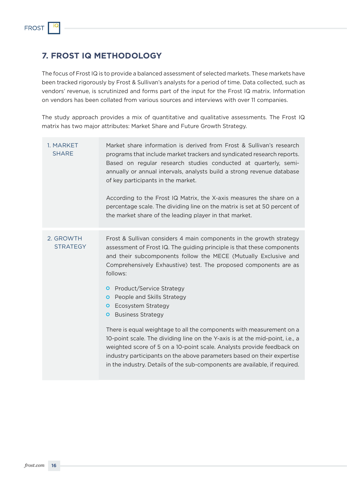## **7. FROST IQ METHODOLOGY**

The focus of Frost IQ is to provide a balanced assessment of selected markets. These markets have been tracked rigorously by Frost & Sullivan's analysts for a period of time. Data collected, such as vendors' revenue, is scrutinized and forms part of the input for the Frost IQ matrix. Information on vendors has been collated from various sources and interviews with over 11 companies.

The study approach provides a mix of quantitative and qualitative assessments. The Frost IQ matrix has two major attributes: Market Share and Future Growth Strategy.

| 1. MARKET<br><b>SHARE</b>    | Market share information is derived from Frost & Sullivan's research<br>programs that include market trackers and syndicated research reports.<br>Based on regular research studies conducted at quarterly, semi-<br>annually or annual intervals, analysts build a strong revenue database<br>of key participants in the market.<br>According to the Frost IQ Matrix, the X-axis measures the share on a<br>percentage scale. The dividing line on the matrix is set at 50 percent of<br>the market share of the leading player in that market.                                                                                                                                                                                                                                                                                      |
|------------------------------|---------------------------------------------------------------------------------------------------------------------------------------------------------------------------------------------------------------------------------------------------------------------------------------------------------------------------------------------------------------------------------------------------------------------------------------------------------------------------------------------------------------------------------------------------------------------------------------------------------------------------------------------------------------------------------------------------------------------------------------------------------------------------------------------------------------------------------------|
| 2. GROWTH<br><b>STRATEGY</b> | Frost & Sullivan considers 4 main components in the growth strategy<br>assessment of Frost IQ. The guiding principle is that these components<br>and their subcomponents follow the MECE (Mutually Exclusive and<br>Comprehensively Exhaustive) test. The proposed components are as<br>follows:<br>Product/Service Strategy<br>O<br>People and Skills Strategy<br>$\circ$<br>Ecosystem Strategy<br>$\circ$<br><b>Business Strategy</b><br>O<br>There is equal weightage to all the components with measurement on a<br>10-point scale. The dividing line on the Y-axis is at the mid-point, i.e., a<br>weighted score of 5 on a 10-point scale. Analysts provide feedback on<br>industry participants on the above parameters based on their expertise<br>in the industry. Details of the sub-components are available, if required. |